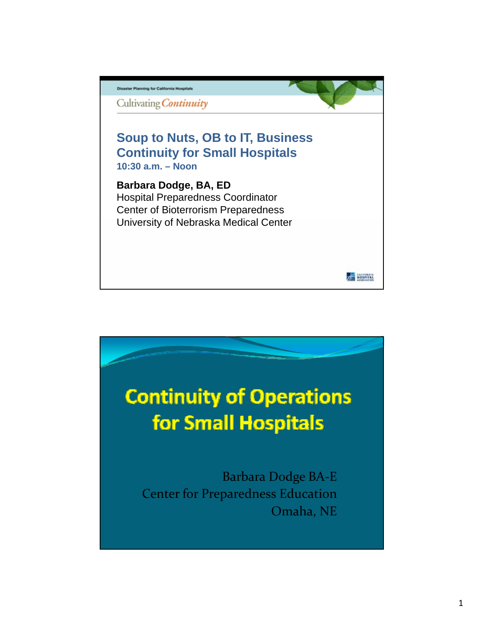

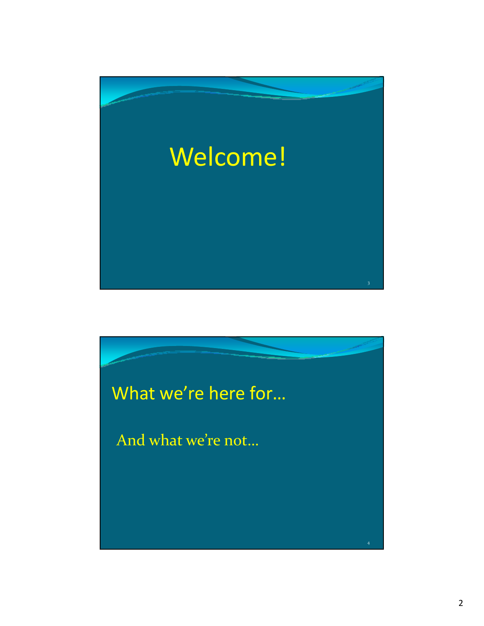

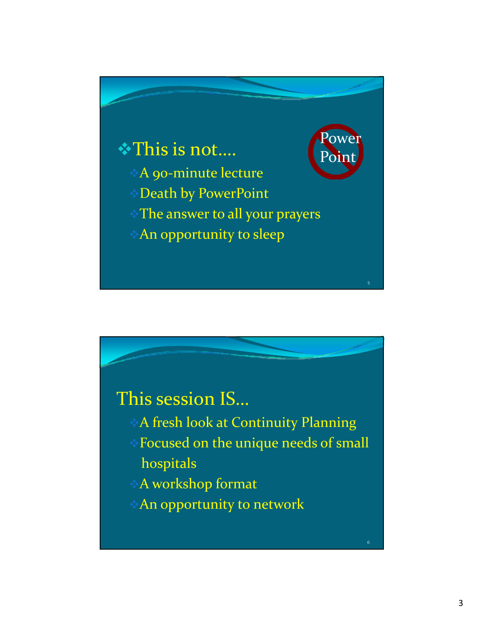

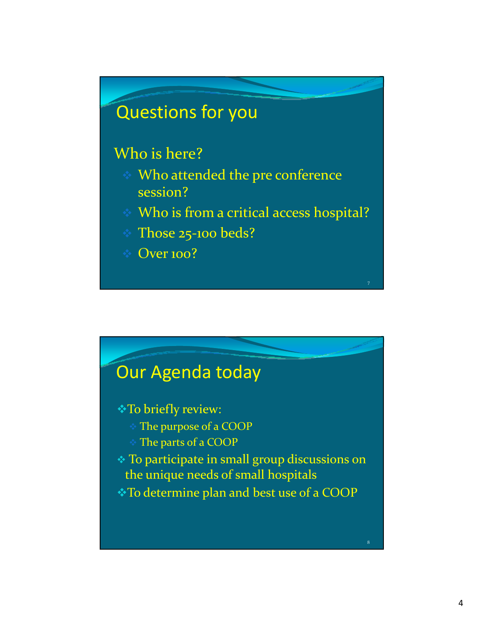# Questions for you

### Who is here?

- Who attended the pre conference session?
- Who is from a critical access hospital?
- Those 25‐100 beds?
- $\div$  Over 100?



### \* To briefly review:

- The purpose of a COOP
- The parts of a COOP
- To participate in small group discussions on the unique needs of small hospitals
- To determine plan and best use of a COOP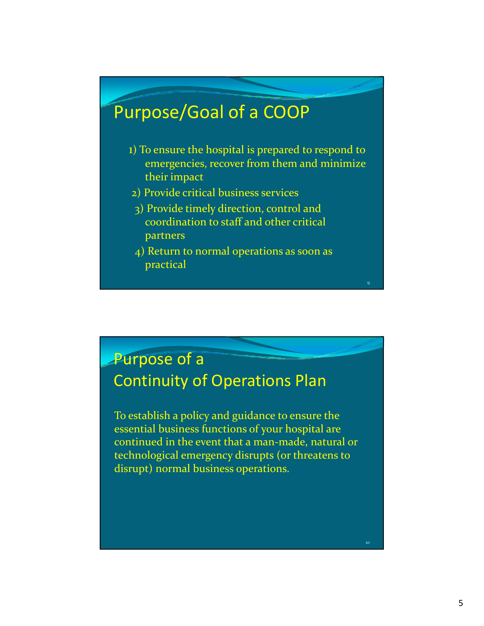# Purpose/Goal of a COOP

- 1) To ensure the hospital is prepared to respond to emergencies, recover from them and minimize their impact
- 2) Provide critical business services
- 3) Provide timely direction, control and coordination to staff and other critical partners
- 4) Return to normal operations as soon as practical

9

### Purpose of a Continuity of Operations Plan

To establish a policy and guidance to ensure the essential business functions of your hospital are continued in the event that a man‐made, natural or technological emergency disrupts (or threatens to disrupt) normal business operations.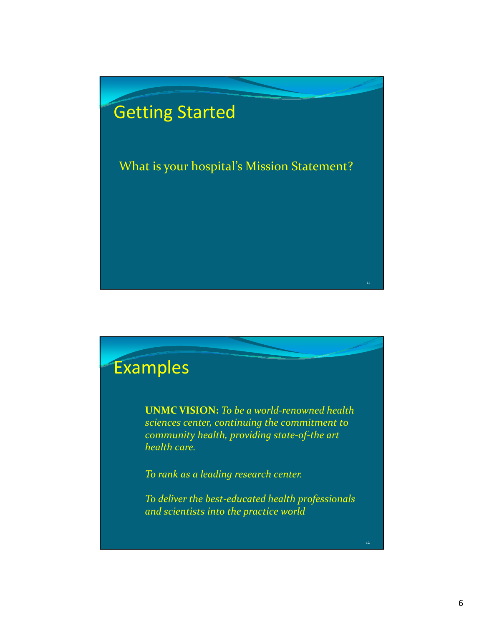

# Examples

**UNMC VISION:** *To be a world-renowned health sciences center, continuing the commitment to community health, providing state‐of‐the art health care.*

*To rank as a leading research center.*

*To deliver the best‐educated health professionals and scientists into the practice world*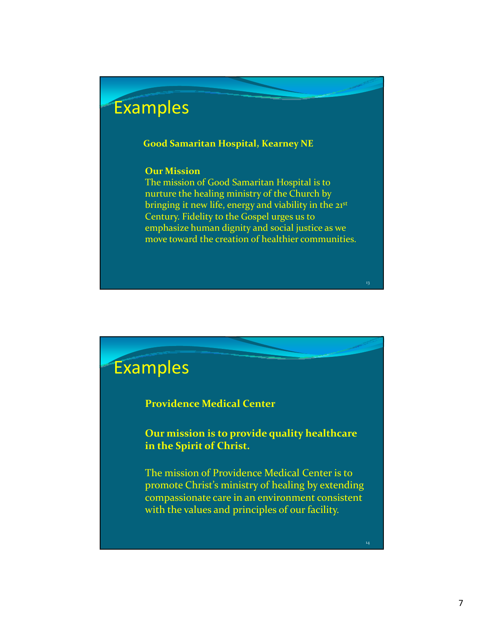## Examples

#### **Good Samaritan Hospital, Kearney NE p ,**

#### **Our Mission**

The mission of Good Samaritan Hospital is to nurture the healing ministry of the Church by bringing it new life, energy and viability in the  $21<sup>st</sup>$ Century. Fidelity to the Gospel urges us to emphasize human dignity and social justice as we move toward the creation of healthier communities.

13

### Examples

### **Providence Medical Center**

**Our mission is to provide quality healthcare in the Spirit of Christ.**

The mission of Providence Medical Center is to promote Christ's ministry of healing by extending compassionate care in an environment consistent with the values and principles of our facility.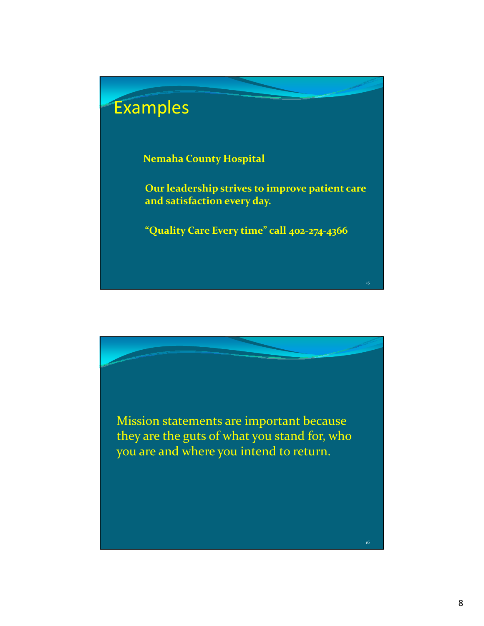

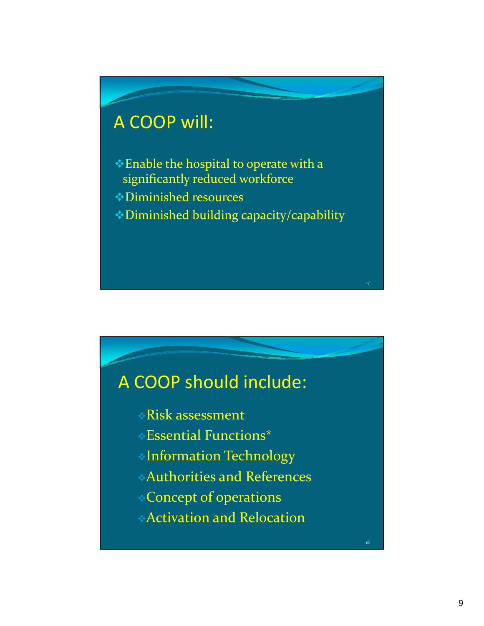# A COOP will:

- Enable the hospital to operate with a significantly reduced workforce
- Diminished resources
- Diminished building capacity/capability

17

18

## A COOP should include:

- Risk assessment
- Essential Functions\*
- Information Technology
- Authorities and References
- Concept of operations
- Activation and Relocation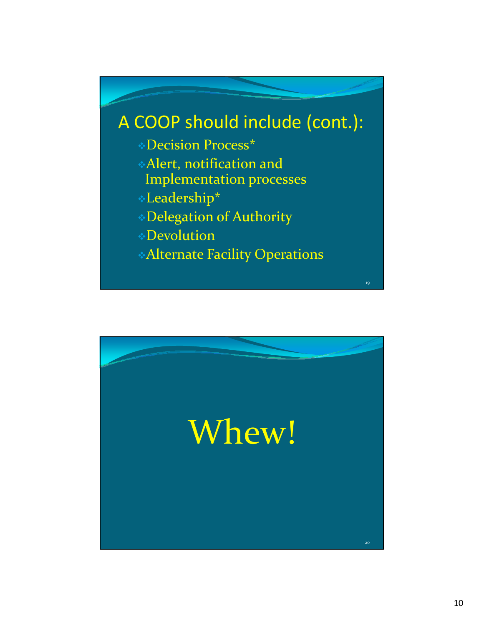

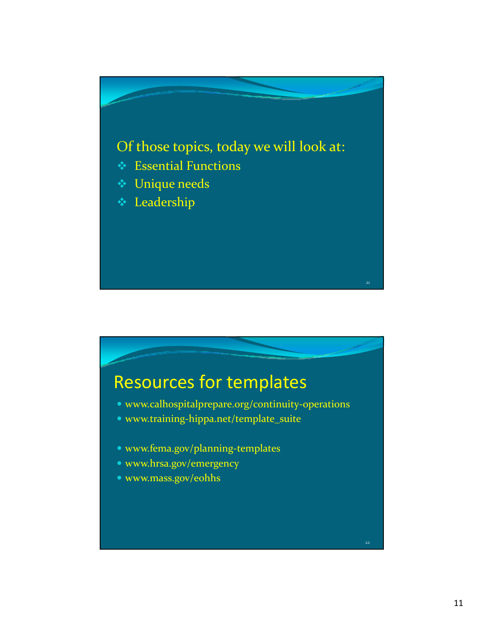

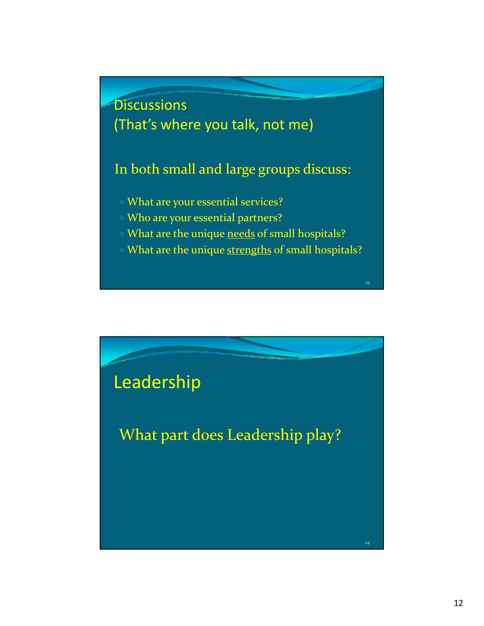

- What are your essential services?
- Who are your essential partners?
- What are the unique needs of small hospitals?
- What are the unique strengths of small hospitals?

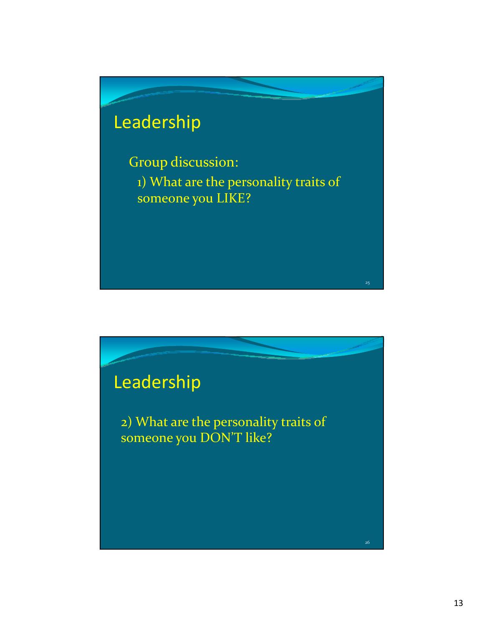# Leadership

Group discussion: 1) What are the personality traits of someone you LIKE?

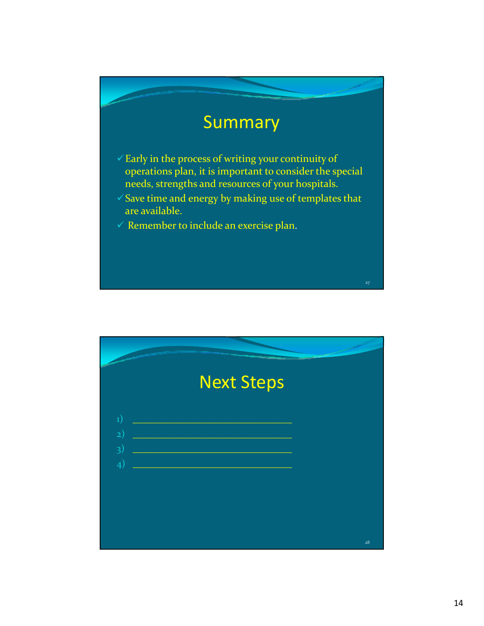